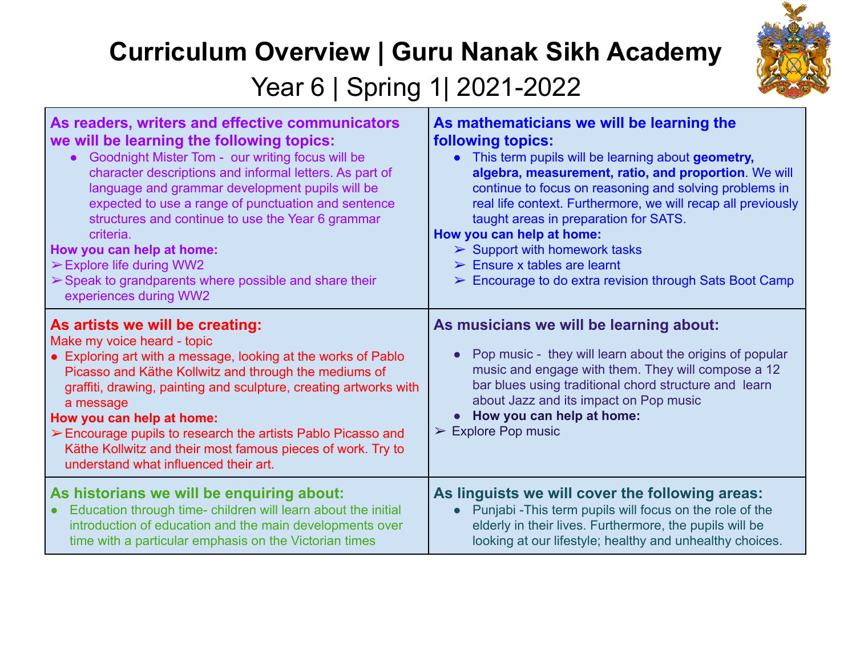## **Curriculum Overview | Guru Nanak Sikh Academy**



Year 6 | Spring 1 | 2021-2022

| As readers, writers and effective communicators                                                                                                                                                                                                                                                                                                                                                                                                                               | As mathematicians we will be learning the                                                                                                                                                                                                                                                                                                    |
|-------------------------------------------------------------------------------------------------------------------------------------------------------------------------------------------------------------------------------------------------------------------------------------------------------------------------------------------------------------------------------------------------------------------------------------------------------------------------------|----------------------------------------------------------------------------------------------------------------------------------------------------------------------------------------------------------------------------------------------------------------------------------------------------------------------------------------------|
| we will be learning the following topics:                                                                                                                                                                                                                                                                                                                                                                                                                                     | following topics:                                                                                                                                                                                                                                                                                                                            |
| • Goodnight Mister Tom - our writing focus will be                                                                                                                                                                                                                                                                                                                                                                                                                            | This term pupils will be learning about geometry,                                                                                                                                                                                                                                                                                            |
| character descriptions and informal letters. As part of                                                                                                                                                                                                                                                                                                                                                                                                                       | $\bullet$                                                                                                                                                                                                                                                                                                                                    |
| language and grammar development pupils will be                                                                                                                                                                                                                                                                                                                                                                                                                               | algebra, measurement, ratio, and proportion. We will                                                                                                                                                                                                                                                                                         |
| expected to use a range of punctuation and sentence                                                                                                                                                                                                                                                                                                                                                                                                                           | continue to focus on reasoning and solving problems in                                                                                                                                                                                                                                                                                       |
| structures and continue to use the Year 6 grammar                                                                                                                                                                                                                                                                                                                                                                                                                             | real life context. Furthermore, we will recap all previously                                                                                                                                                                                                                                                                                 |
| criteria.                                                                                                                                                                                                                                                                                                                                                                                                                                                                     | taught areas in preparation for SATS.                                                                                                                                                                                                                                                                                                        |
| How you can help at home:                                                                                                                                                                                                                                                                                                                                                                                                                                                     | How you can help at home:                                                                                                                                                                                                                                                                                                                    |
| $\triangleright$ Explore life during WW2                                                                                                                                                                                                                                                                                                                                                                                                                                      | $\triangleright$ Support with homework tasks                                                                                                                                                                                                                                                                                                 |
| $\triangleright$ Speak to grandparents where possible and share their                                                                                                                                                                                                                                                                                                                                                                                                         | $\triangleright$ Ensure x tables are learnt                                                                                                                                                                                                                                                                                                  |
| experiences during WW2                                                                                                                                                                                                                                                                                                                                                                                                                                                        | $\triangleright$ Encourage to do extra revision through Sats Boot Camp                                                                                                                                                                                                                                                                       |
| As artists we will be creating:<br>Make my voice heard - topic<br>• Exploring art with a message, looking at the works of Pablo<br>Picasso and Käthe Kollwitz and through the mediums of<br>graffiti, drawing, painting and sculpture, creating artworks with<br>a message<br>How you can help at home:<br>Encourage pupils to research the artists Pablo Picasso and<br>Käthe Kollwitz and their most famous pieces of work. Try to<br>understand what influenced their art. | As musicians we will be learning about:<br>Pop music - they will learn about the origins of popular<br>$\bullet$<br>music and engage with them. They will compose a 12<br>bar blues using traditional chord structure and learn<br>about Jazz and its impact on Pop music<br>How you can help at home:<br>$\triangleright$ Explore Pop music |
| As historians we will be enquiring about:                                                                                                                                                                                                                                                                                                                                                                                                                                     | As linguists we will cover the following areas:                                                                                                                                                                                                                                                                                              |
| Education through time- children will learn about the initial                                                                                                                                                                                                                                                                                                                                                                                                                 | Punjabi - This term pupils will focus on the role of the                                                                                                                                                                                                                                                                                     |
| $\bullet$                                                                                                                                                                                                                                                                                                                                                                                                                                                                     | $\bullet$                                                                                                                                                                                                                                                                                                                                    |
| introduction of education and the main developments over                                                                                                                                                                                                                                                                                                                                                                                                                      | elderly in their lives. Furthermore, the pupils will be                                                                                                                                                                                                                                                                                      |
| time with a particular emphasis on the Victorian times                                                                                                                                                                                                                                                                                                                                                                                                                        | looking at our lifestyle; healthy and unhealthy choices.                                                                                                                                                                                                                                                                                     |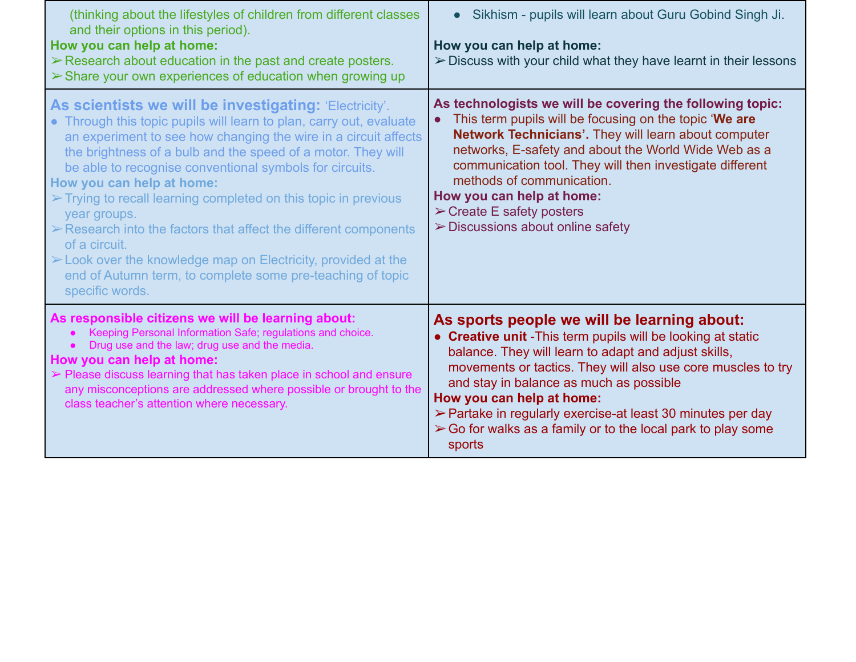| (thinking about the lifestyles of children from different classes<br>and their options in this period).<br>How you can help at home:<br>$\triangleright$ Research about education in the past and create posters.<br>> Share your own experiences of education when growing up                                                                                                                                                                                                                                                                                                                                                                                                                                                  | Sikhism - pupils will learn about Guru Gobind Singh Ji.<br>How you can help at home:<br>> Discuss with your child what they have learnt in their lessons                                                                                                                                                                                                                                                                                                                           |
|---------------------------------------------------------------------------------------------------------------------------------------------------------------------------------------------------------------------------------------------------------------------------------------------------------------------------------------------------------------------------------------------------------------------------------------------------------------------------------------------------------------------------------------------------------------------------------------------------------------------------------------------------------------------------------------------------------------------------------|------------------------------------------------------------------------------------------------------------------------------------------------------------------------------------------------------------------------------------------------------------------------------------------------------------------------------------------------------------------------------------------------------------------------------------------------------------------------------------|
| As scientists we will be investigating: 'Electricity'.<br>• Through this topic pupils will learn to plan, carry out, evaluate<br>an experiment to see how changing the wire in a circuit affects<br>the brightness of a bulb and the speed of a motor. They will<br>be able to recognise conventional symbols for circuits.<br>How you can help at home:<br>$\triangleright$ Trying to recall learning completed on this topic in previous<br>year groups.<br>$\triangleright$ Research into the factors that affect the different components<br>of a circuit.<br>$\triangleright$ Look over the knowledge map on Electricity, provided at the<br>end of Autumn term, to complete some pre-teaching of topic<br>specific words. | As technologists we will be covering the following topic:<br>This term pupils will be focusing on the topic 'We are<br>$\bullet$<br>Network Technicians'. They will learn about computer<br>networks, E-safety and about the World Wide Web as a<br>communication tool. They will then investigate different<br>methods of communication.<br>How you can help at home:<br>$\triangleright$ Create E safety posters<br>$\triangleright$ Discussions about online safety             |
| As responsible citizens we will be learning about:<br>Keeping Personal Information Safe; regulations and choice.<br>Drug use and the law; drug use and the media.<br>How you can help at home:<br>$\triangleright$ Please discuss learning that has taken place in school and ensure<br>any misconceptions are addressed where possible or brought to the<br>class teacher's attention where necessary.                                                                                                                                                                                                                                                                                                                         | As sports people we will be learning about:<br>• Creative unit - This term pupils will be looking at static<br>balance. They will learn to adapt and adjust skills,<br>movements or tactics. They will also use core muscles to try<br>and stay in balance as much as possible<br>How you can help at home:<br>$\triangleright$ Partake in regularly exercise-at least 30 minutes per day<br>$\triangleright$ Go for walks as a family or to the local park to play some<br>sports |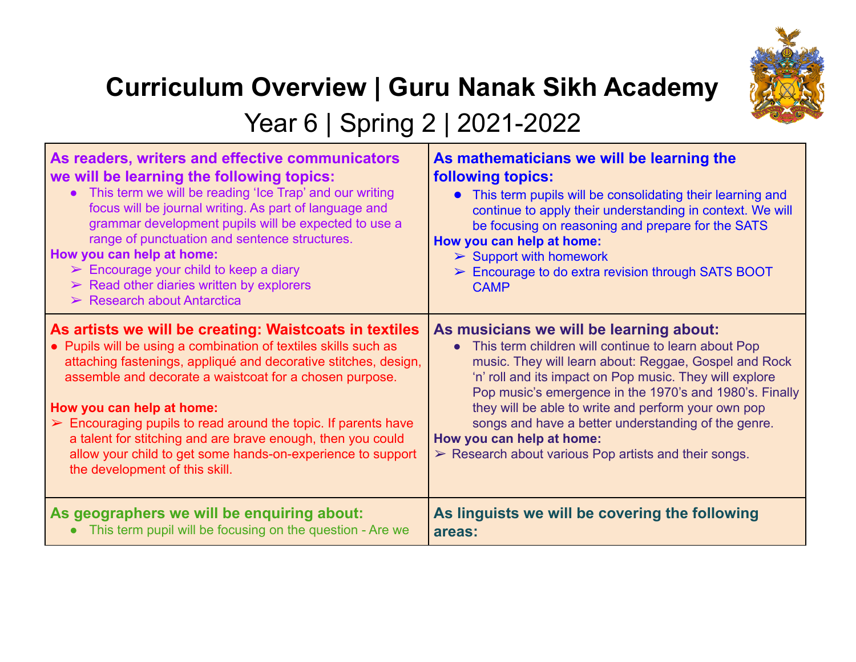

## **Curriculum Overview | Guru Nanak Sikh Academy**

Year 6 | Spring 2 | 2021-2022

| As readers, writers and effective communicators<br>we will be learning the following topics:<br>• This term we will be reading 'Ice Trap' and our writing<br>focus will be journal writing. As part of language and<br>grammar development pupils will be expected to use a<br>range of punctuation and sentence structures.<br>How you can help at home:<br>$\triangleright$ Encourage your child to keep a diary<br>$\triangleright$ Read other diaries written by explorers<br>$\triangleright$ Research about Antarctica | As mathematicians we will be learning the<br>following topics:<br>• This term pupils will be consolidating their learning and<br>continue to apply their understanding in context. We will<br>be focusing on reasoning and prepare for the SATS<br>How you can help at home:<br>$\triangleright$ Support with homework<br>$\triangleright$ Encourage to do extra revision through SATS BOOT<br><b>CAMP</b> |
|------------------------------------------------------------------------------------------------------------------------------------------------------------------------------------------------------------------------------------------------------------------------------------------------------------------------------------------------------------------------------------------------------------------------------------------------------------------------------------------------------------------------------|------------------------------------------------------------------------------------------------------------------------------------------------------------------------------------------------------------------------------------------------------------------------------------------------------------------------------------------------------------------------------------------------------------|
| As artists we will be creating: Waistcoats in textiles                                                                                                                                                                                                                                                                                                                                                                                                                                                                       | As musicians we will be learning about:                                                                                                                                                                                                                                                                                                                                                                    |
| • Pupils will be using a combination of textiles skills such as                                                                                                                                                                                                                                                                                                                                                                                                                                                              | • This term children will continue to learn about Pop                                                                                                                                                                                                                                                                                                                                                      |
| attaching fastenings, appliqué and decorative stitches, design,                                                                                                                                                                                                                                                                                                                                                                                                                                                              | music. They will learn about: Reggae, Gospel and Rock                                                                                                                                                                                                                                                                                                                                                      |
| assemble and decorate a waistcoat for a chosen purpose.                                                                                                                                                                                                                                                                                                                                                                                                                                                                      | 'n' roll and its impact on Pop music. They will explore                                                                                                                                                                                                                                                                                                                                                    |
| How you can help at home:                                                                                                                                                                                                                                                                                                                                                                                                                                                                                                    | Pop music's emergence in the 1970's and 1980's. Finally                                                                                                                                                                                                                                                                                                                                                    |
| $\triangleright$ Encouraging pupils to read around the topic. If parents have                                                                                                                                                                                                                                                                                                                                                                                                                                                | they will be able to write and perform your own pop                                                                                                                                                                                                                                                                                                                                                        |
| a talent for stitching and are brave enough, then you could                                                                                                                                                                                                                                                                                                                                                                                                                                                                  | songs and have a better understanding of the genre.                                                                                                                                                                                                                                                                                                                                                        |
| allow your child to get some hands-on-experience to support                                                                                                                                                                                                                                                                                                                                                                                                                                                                  | How you can help at home:                                                                                                                                                                                                                                                                                                                                                                                  |
| the development of this skill.                                                                                                                                                                                                                                                                                                                                                                                                                                                                                               | $\triangleright$ Research about various Pop artists and their songs.                                                                                                                                                                                                                                                                                                                                       |
| As geographers we will be enquiring about:                                                                                                                                                                                                                                                                                                                                                                                                                                                                                   | As linguists we will be covering the following                                                                                                                                                                                                                                                                                                                                                             |
| This term pupil will be focusing on the question - Are we                                                                                                                                                                                                                                                                                                                                                                                                                                                                    | areas:                                                                                                                                                                                                                                                                                                                                                                                                     |